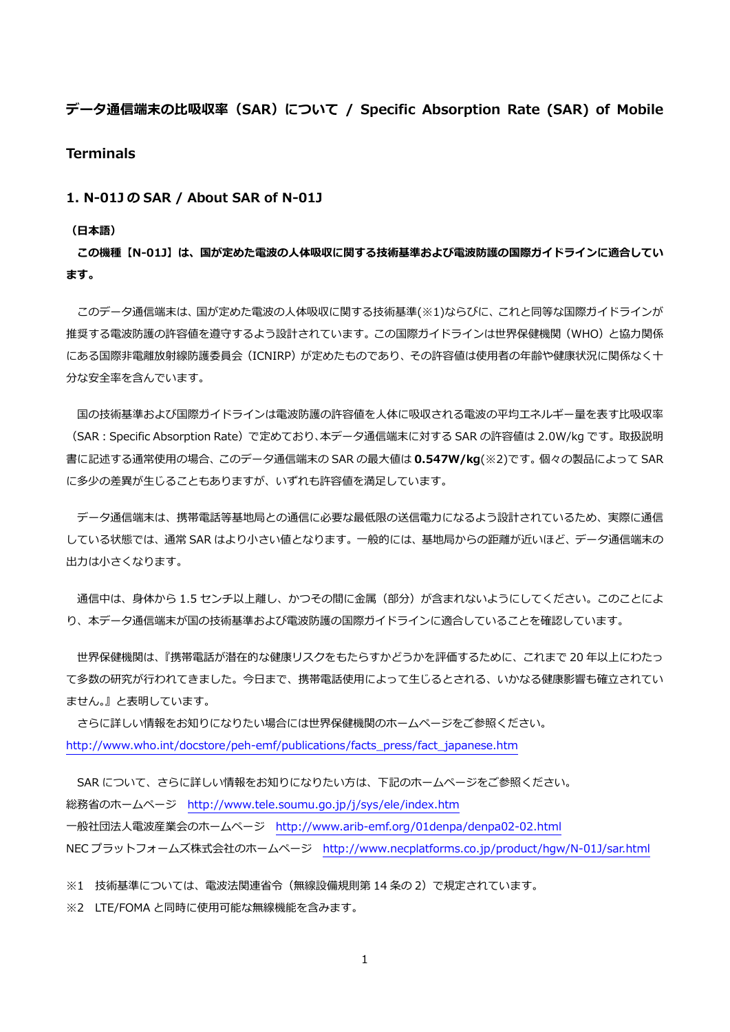# **データ通信端末の⽐吸収率(SAR)について / Specific Absorption Rate (SAR) of Mobile Terminals**

## **1. N-01J の SAR / About SAR of N-01J**

#### **(⽇本語)**

**この機種【N-01J】は、国が定めた電波の⼈体吸収に関する技術基準および電波防護の国際ガイドラインに適合してい ます。** 

 このデータ通信端末は、国が定めた電波の⼈体吸収に関する技術基準(※1)ならびに、これと同等な国際ガイドラインが 推奨する電波防護の許容値を遵守するよう設計されています。この国際ガイドラインは世界保健機関(WHO)と協力関係 にある国際非電離放射線防護委員会(ICNIRP)が定めたものであり、その許容値は使用者の年齢や健康状況に関係なく十 分な安全率を含んでいます。

国の技術基準および国際ガイドラインは電波防護の許容値を人体に吸収される電波の平均エネルギー量を表す比吸収率 (SAR:Specific Absorption Rate)で定めており、本データ通信端末に対する SAR の許容値は 2.0W/kg です。取扱説明 書に記述する通常使⽤の場合、このデータ通信端末の SAR の最⼤値は **0.547W/kg**(※2)です。個々の製品によって SAR に多少の差異が生じることもありますが、いずれも許容値を満足しています。

 データ通信端末は、携帯電話等基地局との通信に必要な最低限の送信電⼒になるよう設計されているため、実際に通信 している状態では、通常 SAR はより⼩さい値となります。⼀般的には、基地局からの距離が近いほど、データ通信端末の 出力は小さくなります。

通信中は、身体から 1.5 センチ以上離し、かつその間に金属 (部分) が含まれないようにしてください。このことによ り、本データ通信端末が国の技術基準および電波防護の国際ガイドラインに適合していることを確認しています。

 世界保健機関は、『携帯電話が潜在的な健康リスクをもたらすかどうかを評価するために、これまで 20 年以上にわたっ て多数の研究が行われてきました。今日まで、携帯電話使用によって生じるとされる、いかなる健康影響も確立されてい ません。』と表明しています。

 さらに詳しい情報をお知りになりたい場合には世界保健機関のホームページをご参照ください。 http://www.who.int/docstore/peh-emf/publications/facts\_press/fact\_japanese.htm

SAR について、さらに詳しい情報をお知りになりたい方は、下記のホームページをご参照ください。 総務省のホームページ http://www.tele.soumu.go.jp/j/sys/ele/index.htm ⼀般社団法⼈電波産業会のホームページ http://www.arib-emf.org/01denpa/denpa02-02.html NEC プラットフォームズ株式会社のホームページ http://www.necplatforms.co.jp/product/hgw/N-01J/sar.html

※1 技術基準については、電波法関連省令(無線設備規則第 14 条の 2)で規定されています。

※2 LTE/FOMA と同時に使用可能な無線機能を含みます。